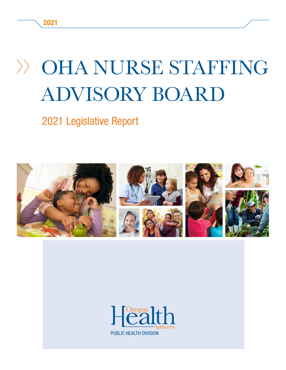## OHA NURSE STAFFING ADVISORY BOARD

#### 2021 Legislative Report



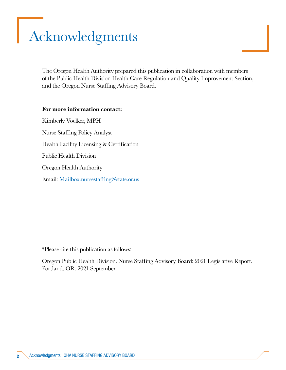## <span id="page-1-0"></span>Acknowledgments

The Oregon Health Authority prepared this publication in collaboration with members of the Public Health Division Health Care Regulation and Quality Improvement Section, and the Oregon Nurse Staffing Advisory Board.

#### For more information contact:

Kimberly Voelker, MPH Nurse Staffing Policy Analyst Health Facility Licensing & Certification Public Health Division Oregon Health Authority Email: [Mailbox.nursestaffing@state.or.us](mailto:Mailbox.nursestaffing%40state.or.us?subject=)

\*Please cite this publication as follows:

Oregon Public Health Division. Nurse Staffing Advisory Board: 2021 Legislative Report. Portland, OR. 2021 September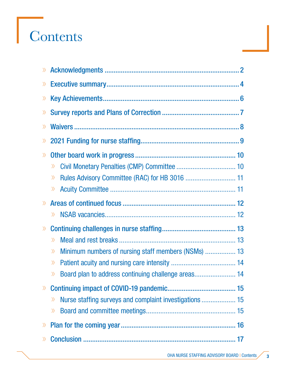# Contents

| $\gg$ |                                                                           |
|-------|---------------------------------------------------------------------------|
| $\gg$ |                                                                           |
| $\gg$ |                                                                           |
| $\gg$ |                                                                           |
| $\gg$ |                                                                           |
| $\gg$ |                                                                           |
| $\gg$ |                                                                           |
|       | $\gg$                                                                     |
|       | $\gg$                                                                     |
|       | $\left\langle \right\rangle$                                              |
| $\gg$ |                                                                           |
|       | $\gg$                                                                     |
| $\gg$ |                                                                           |
|       | $\gg$                                                                     |
|       | Minimum numbers of nursing staff members (NSMs)  13<br>$\rangle\!\rangle$ |
|       | $\left\langle \right\rangle$                                              |
|       | > Board plan to address continuing challenge areas 14                     |
| $\gg$ |                                                                           |
|       | Nurse staffing surveys and complaint investigations  15<br>$\gg$          |
|       | $\gg$                                                                     |
|       |                                                                           |
| $\gg$ |                                                                           |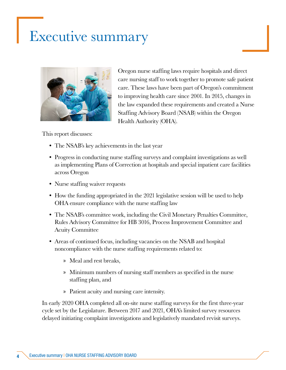## <span id="page-3-0"></span>Executive summary



Oregon nurse staffing laws require hospitals and direct care nursing staff to work together to promote safe patient care. These laws have been part of Oregon's commitment to improving health care since 2001. In 2015, changes in the law expanded these requirements and created a Nurse Staffing Advisory Board (NSAB) within the Oregon Health Authority (OHA).

This report discusses:

- The NSAB's key achievements in the last year
- Progress in conducting nurse staffing surveys and complaint investigations as well as implementing Plans of Correction at hospitals and special inpatient care facilities across Oregon
- Nurse staffing waiver requests
- How the funding appropriated in the 2021 legislative session will be used to help OHA ensure compliance with the nurse staffing law
- The NSAB's committee work, including the Civil Monetary Penalties Committee, Rules Advisory Committee for HB 3016, Process Improvement Committee and Acuity Committee
- Areas of continued focus, including vacancies on the NSAB and hospital noncompliance with the nurse staffing requirements related to:
	- » Meal and rest breaks,
	- » Minimum numbers of nursing staff members as specified in the nurse staffing plan, and
	- » Patient acuity and nursing care intensity.

In early 2020 OHA completed all on-site nurse staffing surveys for the first three-year cycle set by the Legislature. Between 2017 and 2021, OHA's limited survey resources delayed initiating complaint investigations and legislatively mandated revisit surveys.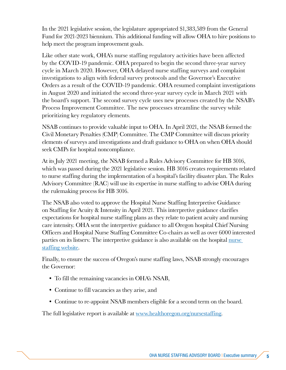In the 2021 legislative session, the legislature appropriated \$1,383,589 from the General Fund for 2021-2023 biennium. This additional funding will allow OHA to hire positions to help meet the program improvement goals.

Like other state work, OHA's nurse staffing regulatory activities have been affected by the COVID-19 pandemic. OHA prepared to begin the second three-year survey cycle in March 2020. However, OHA delayed nurse staffing surveys and complaint investigations to align with federal survey protocols and the Governor's Executive Orders as a result of the COVID-19 pandemic. OHA resumed complaint investigations in August 2020 and initiated the second three-year survey cycle in March 2021 with the board's support. The second survey cycle uses new processes created by the NSAB's Process Improvement Committee. The new processes streamline the survey while prioritizing key regulatory elements.

NSAB continues to provide valuable input to OHA. In April 2021, the NSAB formed the Civil Monetary Penalties (CMP) Committee. The CMP Committee will discuss priority elements of surveys and investigations and draft guidance to OHA on when OHA should seek CMPs for hospital noncompliance.

At its July 2021 meeting, the NSAB formed a Rules Advisory Committee for HB 3016, which was passed during the 2021 legislative session. HB 3016 creates requirements related to nurse staffing during the implementation of a hospital's facility disaster plan. The Rules Advisory Committee (RAC) will use its expertise in nurse staffing to advise OHA during the rulemaking process for HB 3016.

The NSAB also voted to approve the Hospital Nurse Staffing Interpretive Guidance on Staffing for Acuity & Intensity in April 2021. This interpretive guidance clarifies expectations for hospital nurse staffing plans as they relate to patient acuity and nursing care intensity. OHA sent the interpretive guidance to all Oregon hospital Chief Nursing Officers and Hospital Nurse Staffing Committee Co-chairs as well as over 6000 interested parties on its listserv. The interpretive guidance is also available on the hospital nurse [staffing website](mailto:https://www.oregon.gov/OHA/PH/ProviderPartnerResources/HealthcareProvidersFacilities/HealthcareHealthCareRegulationQualityImprovement/Pages/nursestaffing.aspx?subject=).

Finally, to ensure the success of Oregon's nurse staffing laws, NSAB strongly encourages the Governor:

- To fill the remaining vacancies in OHA's NSAB,
- Continue to fill vacancies as they arise, and
- Continue to re-appoint NSAB members eligible for a second term on the board.

The full legislative report is available at [www.healthoregon.org/nursestaffing.](mailto:https://www.oregon.gov/OHA/PH/ProviderPartnerResources/HealthcareProvidersFacilities/HealthcareHealthCareRegulationQualityImprovement/Pages/nursestaffing.aspx?subject=)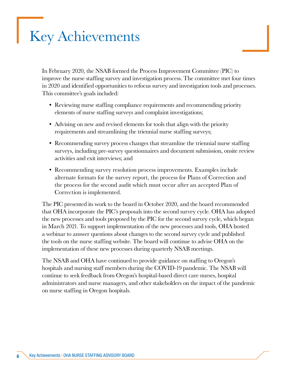## <span id="page-5-0"></span>Key Achievements

In February 2020, the NSAB formed the Process Improvement Committee (PIC) to improve the nurse staffing survey and investigation process. The committee met four times in 2020 and identified opportunities to refocus survey and investigation tools and processes. This committee's goals included:

- Reviewing nurse staffing compliance requirements and recommending priority elements of nurse staffing surveys and complaint investigations;
- Advising on new and revised elements for tools that align with the priority requirements and streamlining the triennial nurse staffing surveys;
- Recommending survey process changes that streamline the triennial nurse staffing surveys, including pre-survey questionnaires and document submission, onsite review activities and exit interviews; and
- Recommending survey resolution process improvements. Examples include alternate formats for the survey report, the process for Plans of Correction and the process for the second audit which must occur after an accepted Plan of Correction is implemented.

The PIC presented its work to the board in October 2020, and the board recommended that OHA incorporate the PIC's proposals into the second survey cycle. OHA has adopted the new processes and tools proposed by the PIC for the second survey cycle, which began in March 2021. To support implementation of the new processes and tools, OHA hosted a webinar to answer questions about changes to the second survey cycle and published the tools on the nurse staffing website. The board will continue to advise OHA on the implementation of these new processes during quarterly NSAB meetings.

The NSAB and OHA have continued to provide guidance on staffing to Oregon's hospitals and nursing staff members during the COVID-19 pandemic. The NSAB will continue to seek feedback from Oregon's hospital-based direct care nurses, hospital administrators and nurse managers, and other stakeholders on the impact of the pandemic on nurse staffing in Oregon hospitals.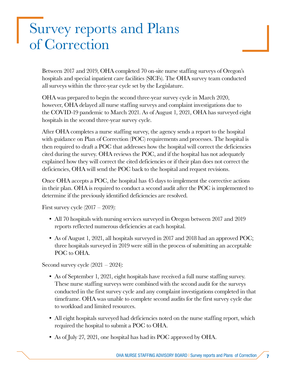## <span id="page-6-0"></span>Survey reports and Plans of Correction

Between 2017 and 2019, OHA completed 70 on-site nurse staffing surveys of Oregon's hospitals and special inpatient care facilities (SICFs). The OHA survey team conducted all surveys within the three-year cycle set by the Legislature.

OHA was prepared to begin the second three-year survey cycle in March 2020, however, OHA delayed all nurse staffing surveys and complaint investigations due to the COVID-19 pandemic to March 2021. As of August 1, 2021, OHA has surveyed eight hospitals in the second three-year survey cycle.

After OHA completes a nurse staffing survey, the agency sends a report to the hospital with guidance on Plan of Correction (POC) requirements and processes. The hospital is then required to draft a POC that addresses how the hospital will correct the deficiencies cited during the survey. OHA reviews the POC, and if the hospital has not adequately explained how they will correct the cited deficiencies or if their plan does not correct the deficiencies, OHA will send the POC back to the hospital and request revisions.

Once OHA accepts a POC, the hospital has 45 days to implement the corrective actions in their plan. OHA is required to conduct a second audit after the POC is implemented to determine if the previously identified deficiencies are resolved.

First survey cycle  $(2017 - 2019)$ :

- All 70 hospitals with nursing services surveyed in Oregon between 2017 and 2019 reports reflected numerous deficiencies at each hospital.
- As of August 1, 2021, all hospitals surveyed in 2017 and 2018 had an approved POC; three hospitals surveyed in 2019 were still in the process of submitting an acceptable POC to OHA.

Second survey cycle  $(2021 - 2024)$ :

- As of September 1, 2021, eight hospitals have received a full nurse staffing survey. These nurse staffing surveys were combined with the second audit for the surveys conducted in the first survey cycle and any complaint investigations completed in that timeframe. OHA was unable to complete second audits for the first survey cycle due to workload and limited resources.
- All eight hospitals surveyed had deficiencies noted on the nurse staffing report, which required the hospital to submit a POC to OHA.
- As of July 27, 2021, one hospital has had its POC approved by OHA.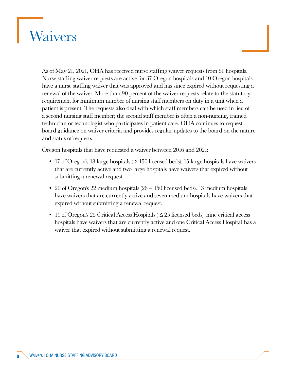## <span id="page-7-0"></span>Waivers

As of May 21, 2021, OHA has received nurse staffing waiver requests from 51 hospitals. Nurse staffing waiver requests are active for 37 Oregon hospitals and 10 Oregon hospitals have a nurse staffing waiver that was approved and has since expired without requesting a renewal of the waiver. More than 90 percent of the waiver requests relate to the statutory requirement for minimum number of nursing staff members on duty in a unit when a patient is present. The requests also deal with which staff members can be used in lieu of a second nursing staff member; the second staff member is often a non-nursing, trained technician or technologist who participates in patient care. OHA continues to request board guidance on waiver criteria and provides regular updates to the board on the nature and status of requests.

Oregon hospitals that have requested a waiver between 2016 and 2021:

- 17 of Oregon's 18 large hospitals (> 150 licensed beds). 15 large hospitals have waivers that are currently active and two large hospitals have waivers that expired without submitting a renewal request.
- 20 of Oregon's 22 medium hospitals (26 150 licensed beds). 13 medium hospitals have waivers that are currently active and seven medium hospitals have waivers that expired without submitting a renewal request.
- 14 of Oregon's 25 Critical Access Hospitals ( ≤ 25 licensed beds). nine critical access hospitals have waivers that are currently active and one Critical Access Hospital has a waiver that expired without submitting a renewal request.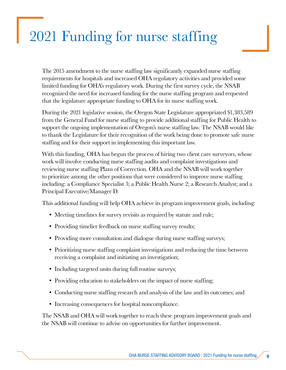## <span id="page-8-0"></span>2021 Funding for nurse staffing

The 2015 amendment to the nurse staffing law significantly expanded nurse staffing requirements for hospitals and increased OHA regulatory activities and provided some limited funding for OHA's regulatory work. During the first survey cycle, the NSAB recognized the need for increased funding for the nurse staffing program and requested that the legislature appropriate funding to OHA for its nurse staffing work.

During the 2021 legislative session, the Oregon State Legislature appropriated \$1,383,589 from the General Fund for nurse staffing to provide additional staffing for Public Health to support the ongoing implementation of Oregon's nurse staffing law. The NSAB would like to thank the Legislature for their recognition of the work being done to promote safe nurse staffing and for their support in implementing this important law.

With this funding, OHA has begun the process of hiring two client care surveyors, whose work will involve conducting nurse staffing audits and complaint investigations and reviewing nurse staffing Plans of Correction. OHA and the NSAB will work together to prioritize among the other positions that were considered to improve nurse staffing including: a Compliance Specialist 3; a Public Health Nurse 2; a Research Analyst; and a Principal Executive/Manager D.

This additional funding will help OHA achieve its program improvement goals, including:

- Meeting timelines for survey revisits as required by statute and rule;
- Providing timelier feedback on nurse staffing survey results;
- Providing more consultation and dialogue during nurse staffing surveys;
- Prioritizing nurse staffing complaint investigations and reducing the time between receiving a complaint and initiating an investigation;
- Including targeted units during full routine surveys;
- Providing education to stakeholders on the impact of nurse staffing;
- Conducting nurse staffing research and analysis of the law and its outcomes; and
- Increasing consequences for hospital noncompliance.

The NSAB and OHA will work together to reach these program improvement goals and the NSAB will continue to advise on opportunities for further improvement.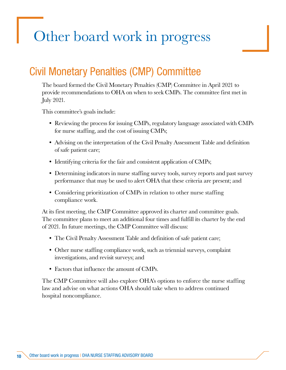## <span id="page-9-0"></span>Other board work in progress

#### Civil Monetary Penalties (CMP) Committee

The board formed the Civil Monetary Penalties (CMP) Committee in April 2021 to provide recommendations to OHA on when to seek CMPs. The committee first met in July 2021.

This committee's goals include:

- Reviewing the process for issuing CMPs, regulatory language associated with CMPs for nurse staffing, and the cost of issuing CMPs;
- Advising on the interpretation of the Civil Penalty Assessment Table and definition of safe patient care;
- Identifying criteria for the fair and consistent application of CMPs;
- Determining indicators in nurse staffing survey tools, survey reports and past survey performance that may be used to alert OHA that these criteria are present; and
- Considering prioritization of CMPs in relation to other nurse staffing compliance work.

At its first meeting, the CMP Committee approved its charter and committee goals. The committee plans to meet an additional four times and fulfill its charter by the end of 2021. In future meetings, the CMP Committee will discuss:

- The Civil Penalty Assessment Table and definition of safe patient care;
- Other nurse staffing compliance work, such as triennial surveys, complaint investigations, and revisit surveys; and
- Factors that influence the amount of CMPs.

The CMP Committee will also explore OHA's options to enforce the nurse staffing law and advise on what actions OHA should take when to address continued hospital noncompliance.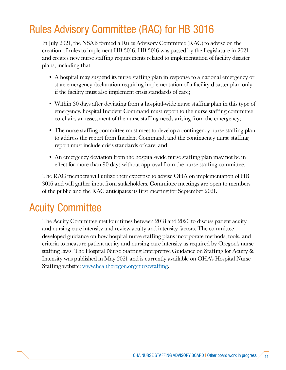#### <span id="page-10-0"></span>Rules Advisory Committee (RAC) for HB 3016

In July 2021, the NSAB formed a Rules Advisory Committee (RAC) to advise on the creation of rules to implement HB 3016. HB 3016 was passed by the Legislature in 2021 and creates new nurse staffing requirements related to implementation of facility disaster plans, including that:

- A hospital may suspend its nurse staffing plan in response to a national emergency or state emergency declaration requiring implementation of a facility disaster plan only if the facility must also implement crisis standards of care;
- Within 30 days after deviating from a hospital-wide nurse staffing plan in this type of emergency, hospital Incident Command must report to the nurse staffing committee co-chairs an assessment of the nurse staffing needs arising from the emergency;
- The nurse staffing committee must meet to develop a contingency nurse staffing plan to address the report from Incident Command, and the contingency nurse staffing report must include crisis standards of care; and
- An emergency deviation from the hospital-wide nurse staffing plan may not be in effect for more than 90 days without approval from the nurse staffing committee.

The RAC members will utilize their expertise to advise OHA on implementation of HB 3016 and will gather input from stakeholders. Committee meetings are open to members of the public and the RAC anticipates its first meeting for September 2021.

#### Acuity Committee

The Acuity Committee met four times between 2018 and 2020 to discuss patient acuity and nursing care intensity and review acuity and intensity factors. The committee developed guidance on how hospital nurse staffing plans incorporate methods, tools, and criteria to measure patient acuity and nursing care intensity as required by Oregon's nurse staffing laws. The Hospital Nurse Staffing Interpretive Guidance on Staffing for Acuity & Intensity was published in May 2021 and is currently available on OHA's Hospital Nurse Staffing website: [www.healthoregon.org/nursestaffing](mailto:https://www.oregon.gov/OHA/PH/ProviderPartnerResources/HealthcareProvidersFacilities/HealthcareHealthCareRegulationQualityImprovement/Pages/nursestaffing.aspx?subject=).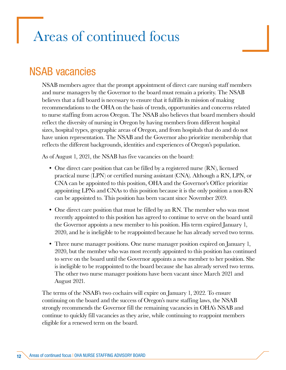## <span id="page-11-0"></span>Areas of continued focus

#### NSAB vacancies

NSAB members agree that the prompt appointment of direct care nursing staff members and nurse managers by the Governor to the board must remain a priority. The NSAB believes that a full board is necessary to ensure that it fulfills its mission of making recommendations to the OHA on the basis of trends, opportunities and concerns related to nurse staffing from across Oregon. The NSAB also believes that board members should reflect the diversity of nursing in Oregon by having members from different hospital sizes, hospital types, geographic areas of Oregon, and from hospitals that do and do not have union representation. The NSAB and the Governor also prioritize membership that reflects the different backgrounds, identities and experiences of Oregon's population.

As of August 1, 2021, the NSAB has five vacancies on the board:

- One direct care position that can be filled by a registered nurse (RN), licensed practical nurse (LPN) or certified nursing assistant (CNA). Although a RN, LPN, or CNA can be appointed to this position, OHA and the Governor's Office prioritize appointing LPNs and CNAs to this position because it is the only position a non-RN can be appointed to. This position has been vacant since November 2019.
- One direct care position that must be filled by an RN. The member who was most recently appointed to this position has agreed to continue to serve on the board until the Governor appoints a new member to his position. His term expired January 1, 2020, and he is ineligible to be reappointed because he has already served two terms.
- Three nurse manager positions. One nurse manager position expired on January 1, 2020, but the member who was most recently appointed to this position has continued to serve on the board until the Governor appoints a new member to her position. She is ineligible to be reappointed to the board because she has already served two terms. The other two nurse manager positions have been vacant since March 2021 and August 2021.

The terms of the NSAB's two cochairs will expire on January 1, 2022. To ensure continuing on the board and the success of Oregon's nurse staffing laws, the NSAB strongly recommends the Governor fill the remaining vacancies in OHA's NSAB and continue to quickly fill vacancies as they arise, while continuing to reappoint members eligible for a renewed term on the board.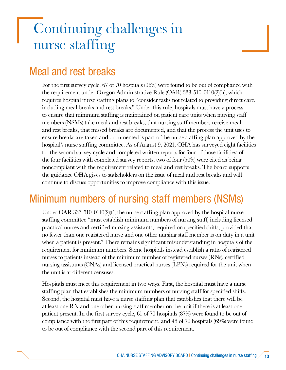## <span id="page-12-0"></span>Continuing challenges in nurse staffing

#### Meal and rest breaks

For the first survey cycle, 67 of 70 hospitals (96%) were found to be out of compliance with the requirement under Oregon Administrative Rule (OAR) 333-510-0110(2)(h), which requires hospital nurse staffing plans to "consider tasks not related to providing direct care, including meal breaks and rest breaks." Under this rule, hospitals must have a process to ensure that minimum staffing is maintained on patient care units when nursing staff members (NSMs) take meal and rest breaks, that nursing staff members receive meal and rest breaks, that missed breaks are documented, and that the process the unit uses to ensure breaks are taken and documented is part of the nurse staffing plan approved by the hospital's nurse staffing committee. As of August 9, 2021, OHA has surveyed eight facilities for the second survey cycle and completed written reports for four of those facilities; of the four facilities with completed survey reports, two of four (50%) were cited as being noncompliant with the requirement related to meal and rest breaks. The board supports the guidance OHA gives to stakeholders on the issue of meal and rest breaks and will continue to discuss opportunities to improve compliance with this issue.

#### Minimum numbers of nursing staff members (NSMs)

Under OAR 333-510-0110(2)(f), the nurse staffing plan approved by the hospital nurse staffing committee "must establish minimum numbers of nursing staff, including licensed practical nurses and certified nursing assistants, required on specified shifts, provided that no fewer than one registered nurse and one other nursing staff member is on duty in a unit when a patient is present." There remains significant misunderstanding in hospitals of the requirement for minimum numbers. Some hospitals instead establish a ratio of registered nurses to patients instead of the minimum number of registered nurses (RNs), certified nursing assistants (CNAs) and licensed practical nurses (LPNs) required for the unit when the unit is at different censuses.

Hospitals must meet this requirement in two ways. First, the hospital must have a nurse staffing plan that establishes the minimum numbers of nursing staff for specified shifts. Second, the hospital must have a nurse staffing plan that establishes that there will be at least one RN and one other nursing staff member on the unit if there is at least one patient present. In the first survey cycle, 61 of 70 hospitals (87%) were found to be out of compliance with the first part of this requirement, and 48 of 70 hospitals (69%) were found to be out of compliance with the second part of this requirement.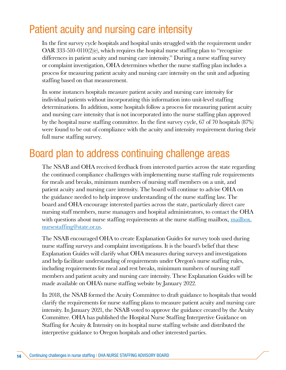#### <span id="page-13-0"></span>Patient acuity and nursing care intensity

In the first survey cycle hospitals and hospital units struggled with the requirement under OAR 333-510-0110(2)(e), which requires the hospital nurse staffing plan to "recognize differences in patient acuity and nursing care intensity." During a nurse staffing survey or complaint investigation, OHA determines whether the nurse staffing plan includes a process for measuring patient acuity and nursing care intensity on the unit and adjusting staffing based on that measurement.

In some instances hospitals measure patient acuity and nursing care intensity for individual patients without incorporating this information into unit-level staffing determinations. In addition, some hospitals follow a process for measuring patient acuity and nursing care intensity that is not incorporated into the nurse staffing plan approved by the hospital nurse staffing committee. In the first survey cycle, 67 of 70 hospitals (87%) were found to be out of compliance with the acuity and intensity requirement during their full nurse staffing survey.

#### Board plan to address continuing challenge areas

The NSAB and OHA received feedback from interested parties across the state regarding the continued compliance challenges with implementing nurse staffing rule requirements for meals and breaks, minimum numbers of nursing staff members on a unit, and patient acuity and nursing care intensity. The board will continue to advise OHA on the guidance needed to help improve understanding of the nurse staffing law. The board and OHA encourage interested parties across the state, particularly direct care nursing staff members, nurse managers and hospital administrators, to contact the OHA with questions about nurse staffing requirements at the nurse staffing mailbox, <u>mailbox.</u> [nursestaffing@state.or.us.](mailto:mailbox.nursestaffing%40state.or.us?subject=)

The NSAB encouraged OHA to create Explanation Guides for survey tools used during nurse staffing surveys and complaint investigations. It is the board's belief that these Explanation Guides will clarify what OHA measures during surveys and investigations and help facilitate understanding of requirements under Oregon's nurse staffing rules, including requirements for meal and rest breaks, minimum numbers of nursing staff members and patient acuity and nursing care intensity. These Explanation Guides will be made available on OHA's nurse staffing website by January 2022.

In 2018, the NSAB formed the Acuity Committee to draft guidance to hospitals that would clarify the requirements for nurse staffing plans to measure patient acuity and nursing care intensity. In January 2021, the NSAB voted to approve the guidance created by the Acuity Committee. OHA has published the Hospital Nurse Staffing Interpretive Guidance on Staffing for Acuity & Intensity on its hospital nurse staffing website and distributed the interpretive guidance to Oregon hospitals and other interested parties.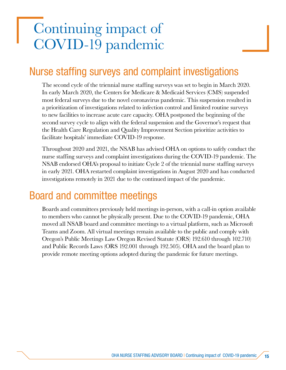## <span id="page-14-0"></span>Continuing impact of COVID-19 pandemic

#### Nurse staffing surveys and complaint investigations

The second cycle of the triennial nurse staffing surveys was set to begin in March 2020. In early March 2020, the Centers for Medicare & Medicaid Services (CMS) suspended most federal surveys due to the novel coronavirus pandemic. This suspension resulted in a prioritization of investigations related to infection control and limited routine surveys to new facilities to increase acute care capacity. OHA postponed the beginning of the second survey cycle to align with the federal suspension and the Governor's request that the Health Care Regulation and Quality Improvement Section prioritize activities to facilitate hospitals' immediate COVID-19 response.

Throughout 2020 and 2021, the NSAB has advised OHA on options to safely conduct the nurse staffing surveys and complaint investigations during the COVID-19 pandemic. The NSAB endorsed OHA's proposal to initiate Cycle 2 of the triennial nurse staffing surveys in early 2021. OHA restarted complaint investigations in August 2020 and has conducted investigations remotely in 2021 due to the continued impact of the pandemic.

#### Board and committee meetings

Boards and committees previously held meetings in-person, with a call-in option available to members who cannot be physically present. Due to the COVID-19 pandemic, OHA moved all NSAB board and committee meetings to a virtual platform, such as Microsoft Teams and Zoom. All virtual meetings remain available to the public and comply with Oregon's Public Meetings Law Oregon Revised Statute (ORS) 192.610 through 102.710) and Public Records Laws (ORS 192.001 through 192.505). OHA and the board plan to provide remote meeting options adopted during the pandemic for future meetings.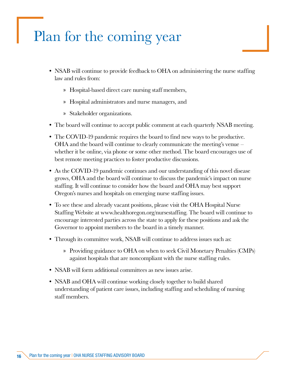## <span id="page-15-0"></span>Plan for the coming year

- NSAB will continue to provide feedback to OHA on administering the nurse staffing law and rules from:
	- » Hospital-based direct care nursing staff members,
	- » Hospital administrators and nurse managers, and
	- » Stakeholder organizations.
- The board will continue to accept public comment at each quarterly NSAB meeting.
- The COVID-19 pandemic requires the board to find new ways to be productive. OHA and the board will continue to clearly communicate the meeting's venue – whether it be online, via phone or some other method. The board encourages use of best remote meeting practices to foster productive discussions.
- As the COVID-19 pandemic continues and our understanding of this novel disease grows, OHA and the board will continue to discuss the pandemic's impact on nurse staffing. It will continue to consider how the board and OHA may best support Oregon's nurses and hospitals on emerging nurse staffing issues.
- To see these and already vacant positions, please visit the OHA Hospital Nurse Staffing Website at www.healthoregon.org/nursestaffing. The board will continue to encourage interested parties across the state to apply for these positions and ask the Governor to appoint members to the board in a timely manner.
- Through its committee work, NSAB will continue to address issues such as:
	- » Providing guidance to OHA on when to seek Civil Monetary Penalties (CMPs) against hospitals that are noncompliant with the nurse staffing rules.
- NSAB will form additional committees as new issues arise.
- NSAB and OHA will continue working closely together to build shared understanding of patient care issues, including staffing and scheduling of nursing staff members.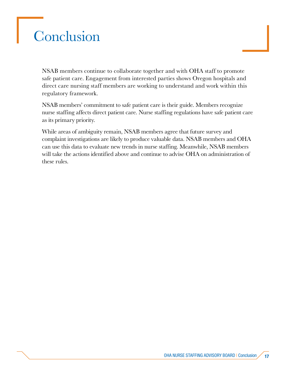## <span id="page-16-0"></span>**Conclusion**

NSAB members continue to collaborate together and with OHA staff to promote safe patient care. Engagement from interested parties shows Oregon hospitals and direct care nursing staff members are working to understand and work within this regulatory framework.

NSAB members' commitment to safe patient care is their guide. Members recognize nurse staffing affects direct patient care. Nurse staffing regulations have safe patient care as its primary priority.

While areas of ambiguity remain, NSAB members agree that future survey and complaint investigations are likely to produce valuable data. NSAB members and OHA can use this data to evaluate new trends in nurse staffing. Meanwhile, NSAB members will take the actions identified above and continue to advise OHA on administration of these rules.